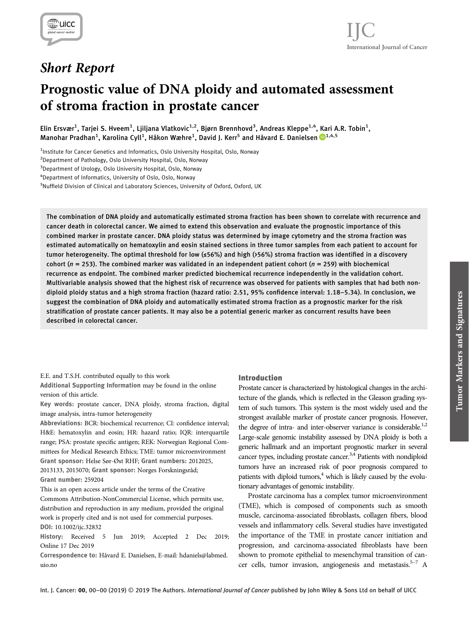

# Short Report

# Prognostic value of DNA ploidy and automated assessment of stroma fraction in prostate cancer

Elin Ersvær<sup>1</sup>, Tarjei S. Hveem<sup>1</sup>, Ljiljana Vlatkovic<sup>1,2</sup>, Bjørn Brennhovd<sup>3</sup>, Andreas Kleppe<sup>1,4</sup>, Kari A.R. Tobin<sup>1</sup>, Manohar Pradhan<sup>1</sup>, Karolina Cyll<sup>1</sup>, Håkon Wæhre<sup>1</sup>, David J. Kerr<sup>5</sup> and Håvard E. Danielsen D<sup>1,4,5</sup>

<sup>1</sup>Institute for Cancer Genetics and Informatics, Oslo University Hospital, Oslo, Norway

<sup>2</sup> Department of Pathology, Oslo University Hospital, Oslo, Norway

<sup>3</sup> Department of Urology, Oslo University Hospital, Oslo, Norway

4 Department of Informatics, University of Oslo, Oslo, Norway

<sup>5</sup>Nuffield Division of Clinical and Laboratory Sciences, University of Oxford, Oxford, UK

The combination of DNA ploidy and automatically estimated stroma fraction has been shown to correlate with recurrence and cancer death in colorectal cancer. We aimed to extend this observation and evaluate the prognostic importance of this combined marker in prostate cancer. DNA ploidy status was determined by image cytometry and the stroma fraction was estimated automatically on hematoxylin and eosin stained sections in three tumor samples from each patient to account for tumor heterogeneity. The optimal threshold for low (≤56%) and high (>56%) stroma fraction was identified in a discovery cohort ( $n = 253$ ). The combined marker was validated in an independent patient cohort ( $n = 259$ ) with biochemical recurrence as endpoint. The combined marker predicted biochemical recurrence independently in the validation cohort. Multivariable analysis showed that the highest risk of recurrence was observed for patients with samples that had both nondiploid ploidy status and a high stroma fraction (hazard ratio: 2.51, 95% confidence interval: 1.18–5.34). In conclusion, we suggest the combination of DNA ploidy and automatically estimated stroma fraction as a prognostic marker for the risk stratification of prostate cancer patients. It may also be a potential generic marker as concurrent results have been described in colorectal cancer.

#### E.E. and T.S.H. contributed equally to this work

Additional Supporting Information may be found in the online version of this article.

Key words: prostate cancer, DNA ploidy, stroma fraction, digital image analysis, intra-tumor heterogeneity

Abbreviations: BCR: biochemical recurrence; CI: confidence interval; H&E: hematoxylin and eosin; HR: hazard ratio; IQR: interquartile range; PSA: prostate specific antigen; REK: Norwegian Regional Committees for Medical Research Ethics; TME: tumor microenvironment Grant sponsor: Helse Sør-Øst RHF; Grant numbers: 2012025, 2013133, 2015070; Grant sponsor: Norges Forskningsråd; Grant number: 259204

This is an open access article under the terms of the Creative Commons Attribution-NonCommercial License, which permits use, distribution and reproduction in any medium, provided the original work is properly cited and is not used for commercial purposes. DOI: 10.1002/ijc.32832

History: Received 5 Jun 2019; Accepted 2 Dec 2019; Online 17 Dec 2019

Correspondence to: Håvard E. Danielsen, E-mail: hdaniels@labmed. uio.no

# Introduction

Prostate cancer is characterized by histological changes in the architecture of the glands, which is reflected in the Gleason grading system of such tumors. This system is the most widely used and the strongest available marker of prostate cancer prognosis. However, the degree of intra- and inter-observer variance is considerable.<sup>1,2</sup> Large-scale genomic instability assessed by DNA ploidy is both a generic hallmark and an important prognostic marker in several cancer types, including prostate cancer.<sup>3,4</sup> Patients with nondiploid tumors have an increased risk of poor prognosis compared to patients with diploid tumors,<sup>4</sup> which is likely caused by the evolutionary advantages of genomic instability.

Prostate carcinoma has a complex tumor microenvironment (TME), which is composed of components such as smooth muscle, carcinoma-associated fibroblasts, collagen fibers, blood vessels and inflammatory cells. Several studies have investigated the importance of the TME in prostate cancer initiation and progression, and carcinoma-associated fibroblasts have been shown to promote epithelial to mesenchymal transition of cancer cells, tumor invasion, angiogenesis and metastasis.<sup>5–7</sup> A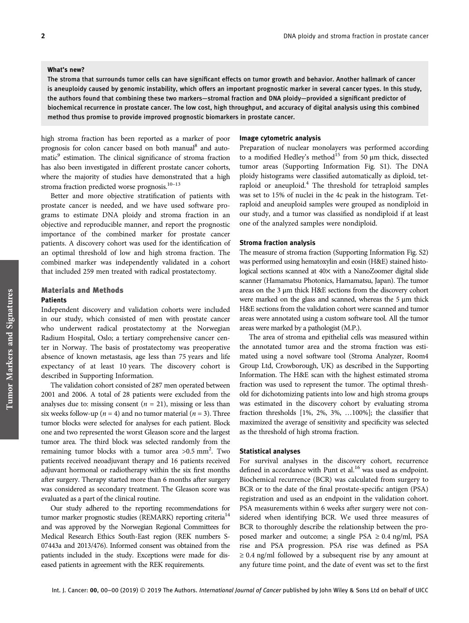The stroma that surrounds tumor cells can have significant effects on tumor growth and behavior. Another hallmark of cancer is aneuploidy caused by genomic instability, which offers an important prognostic marker in several cancer types. In this study, the authors found that combining these two markers—stromal fraction and DNA ploidy—provided a significant predictor of biochemical recurrence in prostate cancer. The low cost, high throughput, and accuracy of digital analysis using this combined method thus promise to provide improved prognostic biomarkers in prostate cancer.

high stroma fraction has been reported as a marker of poor prognosis for colon cancer based on both manual<sup>8</sup> and automatic<sup>9</sup> estimation. The clinical significance of stroma fraction has also been investigated in different prostate cancer cohorts, where the majority of studies have demonstrated that a high stroma fraction predicted worse prognosis.<sup>10-13</sup>

Better and more objective stratification of patients with prostate cancer is needed, and we have used software programs to estimate DNA ploidy and stroma fraction in an objective and reproducible manner, and report the prognostic importance of the combined marker for prostate cancer patients. A discovery cohort was used for the identification of an optimal threshold of low and high stroma fraction. The combined marker was independently validated in a cohort that included 259 men treated with radical prostatectomy.

# Materials and Methods

# Patients

Independent discovery and validation cohorts were included in our study, which consisted of men with prostate cancer who underwent radical prostatectomy at the Norwegian Radium Hospital, Oslo; a tertiary comprehensive cancer center in Norway. The basis of prostatectomy was preoperative absence of known metastasis, age less than 75 years and life expectancy of at least 10 years. The discovery cohort is described in Supporting Information.

The validation cohort consisted of 287 men operated between 2001 and 2006. A total of 28 patients were excluded from the analyses due to: missing consent ( $n = 21$ ), missing or less than six weeks follow-up ( $n = 4$ ) and no tumor material ( $n = 3$ ). Three tumor blocks were selected for analyses for each patient. Block one and two represented the worst Gleason score and the largest tumor area. The third block was selected randomly from the remaining tumor blocks with a tumor area >0.5 mm<sup>2</sup>. Two patients received neoadjuvant therapy and 16 patients received adjuvant hormonal or radiotherapy within the six first months after surgery. Therapy started more than 6 months after surgery was considered as secondary treatment. The Gleason score was evaluated as a part of the clinical routine.

Our study adhered to the reporting recommendations for tumor marker prognostic studies (REMARK) reporting criteria<sup>14</sup> and was approved by the Norwegian Regional Committees for Medical Research Ethics South-East region (REK numbers S-07443a and 2013/476). Informed consent was obtained from the patients included in the study. Exceptions were made for diseased patients in agreement with the REK requirements.

#### Image cytometric analysis

Preparation of nuclear monolayers was performed according to a modified Hedley's method<sup>15</sup> from 50 μm thick, dissected tumor areas (Supporting Information Fig. S1). The DNA ploidy histograms were classified automatically as diploid, tetraploid or aneuploid.<sup>4</sup> The threshold for tetraploid samples was set to 15% of nuclei in the 4c peak in the histogram. Tetraploid and aneuploid samples were grouped as nondiploid in our study, and a tumor was classified as nondiploid if at least one of the analyzed samples were nondiploid.

#### Stroma fraction analysis

The measure of stroma fraction (Supporting Information Fig. S2) was performed using hematoxylin and eosin (H&E) stained histological sections scanned at 40× with a NanoZoomer digital slide scanner (Hamamatsu Photonics, Hamamatsu, Japan). The tumor areas on the 3 μm thick H&E sections from the discovery cohort were marked on the glass and scanned, whereas the 5 μm thick H&E sections from the validation cohort were scanned and tumor areas were annotated using a custom software tool. All the tumor areas were marked by a pathologist (M.P.).

The area of stroma and epithelial cells was measured within the annotated tumor area and the stroma fraction was estimated using a novel software tool (Stroma Analyzer, Room4 Group Ltd, Crowborough, UK) as described in the Supporting Information. The H&E scan with the highest estimated stroma fraction was used to represent the tumor. The optimal threshold for dichotomizing patients into low and high stroma groups was estimated in the discovery cohort by evaluating stroma fraction thresholds [1%, 2%, 3%, …100%]; the classifier that maximized the average of sensitivity and specificity was selected as the threshold of high stroma fraction.

### Statistical analyses

For survival analyses in the discovery cohort, recurrence defined in accordance with Punt et al.<sup>16</sup> was used as endpoint. Biochemical recurrence (BCR) was calculated from surgery to BCR or to the date of the final prostate-specific antigen (PSA) registration and used as an endpoint in the validation cohort. PSA measurements within 6 weeks after surgery were not considered when identifying BCR. We used three measures of BCR to thoroughly describe the relationship between the proposed marker and outcome; a single PSA  $\geq$  0.4 ng/ml, PSA rise and PSA progression. PSA rise was defined as PSA  $\geq 0.4$  ng/ml followed by a subsequent rise by any amount at any future time point, and the date of event was set to the first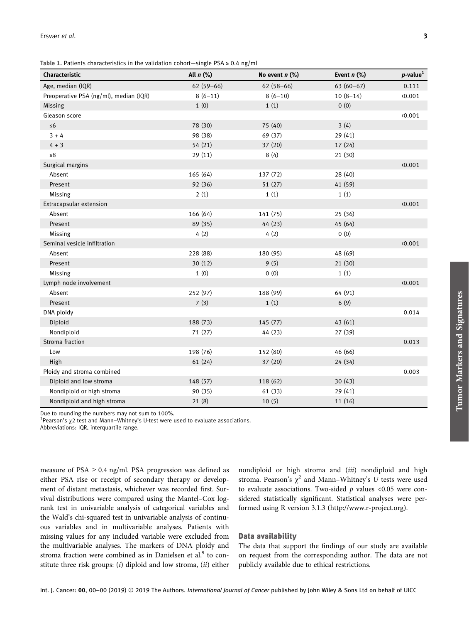Table 1. Patients characteristics in the validation cohort—single PSA  $\geq 0.4$  ng/ml

| Characteristic                         | All $n$ (%) | No event $n$ (%) | Event $n$ (%) | $p$ -value <sup>1</sup> |
|----------------------------------------|-------------|------------------|---------------|-------------------------|
| Age, median (IQR)                      | $62(59-66)$ | $62(58-66)$      | $63(60-67)$   | 0.111                   |
| Preoperative PSA (ng/ml), median (IQR) | $8(6-11)$   | $8(6-10)$        | $10(8-14)$    | 0.001                   |
| Missing                                | 1(0)        | 1(1)             | 0(0)          |                         |
| Gleason score                          |             |                  |               | 0.001                   |
| $\leq 6$                               | 78 (30)     | 75 (40)          | 3(4)          |                         |
| $3 + 4$                                | 98 (38)     | 69 (37)          | 29 (41)       |                         |
| $4 + 3$                                | 54 (21)     | 37 (20)          | 17 (24)       |                         |
| $\geq 8$                               | 29 (11)     | 8(4)             | 21 (30)       |                         |
| Surgical margins                       |             |                  |               | 0.001                   |
| Absent                                 | 165 (64)    | 137 (72)         | 28 (40)       |                         |
| Present                                | 92 (36)     | 51 (27)          | 41 (59)       |                         |
| Missing                                | 2(1)        | 1(1)             | 1(1)          |                         |
| Extracapsular extension                |             |                  |               | 0.001                   |
| Absent                                 | 166 (64)    | 141 (75)         | 25 (36)       |                         |
| Present                                | 89 (35)     | 44 (23)          | 45 (64)       |                         |
| Missing                                | 4(2)        | 4(2)             | 0(0)          |                         |
| Seminal vesicle infiltration           |             |                  |               | 0.001                   |
| Absent                                 | 228 (88)    | 180 (95)         | 48 (69)       |                         |
| Present                                | 30(12)      | 9(5)             | 21(30)        |                         |
| Missing                                | 1(0)        | 0(0)             | 1(1)          |                         |
| Lymph node involvement                 |             |                  |               | 0.001                   |
| Absent                                 | 252 (97)    | 188 (99)         | 64 (91)       |                         |
| Present                                | 7(3)        | 1(1)             | 6(9)          |                         |
| DNA ploidy                             |             |                  |               | 0.014                   |
| Diploid                                | 188 (73)    | 145 (77)         | 43 (61)       |                         |
| Nondiploid                             | 71 (27)     | 44 (23)          | 27 (39)       |                         |
| Stroma fraction                        |             |                  |               | 0.013                   |
| Low                                    | 198 (76)    | 152 (80)         | 46 (66)       |                         |
| High                                   | 61 (24)     | 37 (20)          | 24 (34)       |                         |
| Ploidy and stroma combined             |             |                  |               | 0.003                   |
| Diploid and low stroma                 | 148 (57)    | 118 (62)         | 30(43)        |                         |
| Nondiploid or high stroma              | 90 (35)     | 61 (33)          | 29 (41)       |                         |
| Nondiploid and high stroma             | 21(8)       | 10(5)            | 11 (16)       |                         |

Due to rounding the numbers may not sum to 100%.

<sup>1</sup> Pearson's  $χ$ 2 test and Mann-Whitney's U-test were used to evaluate associations.

Abbreviations: IQR, interquartile range.

measure of PSA  $\geq$  0.4 ng/ml. PSA progression was defined as either PSA rise or receipt of secondary therapy or development of distant metastasis, whichever was recorded first. Survival distributions were compared using the Mantel–Cox logrank test in univariable analysis of categorical variables and the Wald's chi-squared test in univariable analysis of continuous variables and in multivariable analyses. Patients with missing values for any included variable were excluded from the multivariable analyses. The markers of DNA ploidy and stroma fraction were combined as in Danielsen et al.<sup>9</sup> to constitute three risk groups: (i) diploid and low stroma, (ii) either nondiploid or high stroma and (iii) nondiploid and high stroma. Pearson's  $\chi^2$  and Mann–Whitney's U tests were used to evaluate associations. Two-sided  $p$  values <0.05 were considered statistically significant. Statistical analyses were performed using R version 3.1.3 (http://www.r-project.org).

# Data availability

The data that support the findings of our study are available on request from the corresponding author. The data are not publicly available due to ethical restrictions.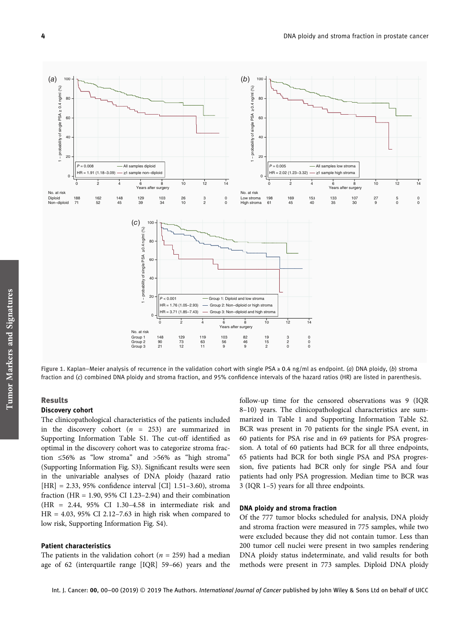

Figure 1. Kaplan–Meier analysis of recurrence in the validation cohort with single PSA ≥ 0.4 ng/ml as endpoint. (a) DNA ploidy, (b) stroma fraction and (c) combined DNA ploidy and stroma fraction, and 95% confidence intervals of the hazard ratios (HR) are listed in parenthesis.

# Results

#### Discovery cohort

The clinicopathological characteristics of the patients included in the discovery cohort  $(n = 253)$  are summarized in Supporting Information Table S1. The cut-off identified as optimal in the discovery cohort was to categorize stroma fraction ≤56% as "low stroma" and >56% as "high stroma" (Supporting Information Fig. S3). Significant results were seen in the univariable analyses of DNA ploidy (hazard ratio  $[HR] = 2.33, 95\%$  confidence interval  $[CI]$  1.51-3.60), stroma fraction (HR =  $1.90$ ,  $95\%$  CI 1.23–2.94) and their combination (HR = 2.44, 95% CI 1.30–4.58 in intermediate risk and HR = 4.03, 95% CI 2.12–7.63 in high risk when compared to low risk, Supporting Information Fig. S4).

# Patient characteristics

The patients in the validation cohort ( $n = 259$ ) had a median age of 62 (interquartile range [IQR] 59–66) years and the follow-up time for the censored observations was 9 (IQR 8–10) years. The clinicopathological characteristics are summarized in Table 1 and Supporting Information Table S2. BCR was present in 70 patients for the single PSA event, in 60 patients for PSA rise and in 69 patients for PSA progression. A total of 60 patients had BCR for all three endpoints, 65 patients had BCR for both single PSA and PSA progression, five patients had BCR only for single PSA and four patients had only PSA progression. Median time to BCR was 3 (IQR 1–5) years for all three endpoints.

#### DNA ploidy and stroma fraction

Of the 777 tumor blocks scheduled for analysis, DNA ploidy and stroma fraction were measured in 775 samples, while two were excluded because they did not contain tumor. Less than 200 tumor cell nuclei were present in two samples rendering DNA ploidy status indeterminate, and valid results for both methods were present in 773 samples. Diploid DNA ploidy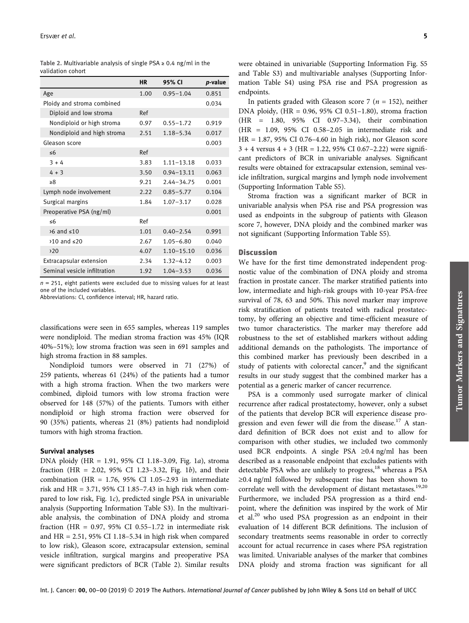|                              | <b>HR</b> | 95% CI         | <i>p</i> -value |
|------------------------------|-----------|----------------|-----------------|
| Age                          | 1.00      | $0.95 - 1.04$  | 0.851           |
| Ploidy and stroma combined   |           |                | 0.034           |
| Diploid and low stroma       | Ref       |                |                 |
| Nondiploid or high stroma    | 0.97      | $0.55 - 1.72$  | 0.919           |
| Nondiploid and high stroma   | 2.51      | $1.18 - 5.34$  | 0.017           |
| Gleason score                |           |                | 0.003           |
| $\leq 6$                     | Ref       |                |                 |
| $3 + 4$                      | 3.83      | $1.11 - 13.18$ | 0.033           |
| $4 + 3$                      | 3.50      | $0.94 - 13.11$ | 0.063           |
| $\geq 8$                     | 9.21      | $2.44 - 34.75$ | 0.001           |
| Lymph node involvement       | 2.22      | $0.85 - 5.77$  | 0.104           |
| Surgical margins             | 1.84      | $1.07 - 3.17$  | 0.028           |
| Preoperative PSA (ng/ml)     |           |                | 0.001           |
| $\leq 6$                     | Ref       |                |                 |
| $\times$ 6 and $\leq$ 10     | 1.01      | $0.40 - 2.54$  | 0.991           |
| $>10$ and $\leq 20$          | 2.67      | $1.05 - 6.80$  | 0.040           |
| 20                           | 4.07      | $1.10 - 15.10$ | 0.036           |
| Extracapsular extension      | 2.34      | $1.32 - 4.12$  | 0.003           |
| Seminal vesicle infiltration | 1.92      | $1.04 - 3.53$  | 0.036           |

Table 2. Multivariable analysis of single PSA ≥ 0.4 ng/ml in the validation cohort

 $n = 251$ , eight patients were excluded due to missing values for at least one of the included variables.

Abbreviations: CI, confidence interval; HR, hazard ratio.

classifications were seen in 655 samples, whereas 119 samples were nondiploid. The median stroma fraction was 45% (IQR 40%–51%); low stroma fraction was seen in 691 samples and high stroma fraction in 88 samples.

Nondiploid tumors were observed in 71 (27%) of 259 patients, whereas 61 (24%) of the patients had a tumor with a high stroma fraction. When the two markers were combined, diploid tumors with low stroma fraction were observed for 148 (57%) of the patients. Tumors with either nondiploid or high stroma fraction were observed for 90 (35%) patients, whereas 21 (8%) patients had nondiploid tumors with high stroma fraction.

### Survival analyses

DNA ploidy (HR = 1.91, 95% CI 1.18–3.09, Fig. 1a), stroma fraction (HR = 2.02, 95% CI 1.23–3.32, Fig. 1b), and their combination (HR =  $1.76$ ,  $95\%$  CI 1.05-2.93 in intermediate risk and HR = 3.71, 95% CI 1.85–7.43 in high risk when compared to low risk, Fig. 1c), predicted single PSA in univariable analysis (Supporting Information Table S3). In the multivariable analysis, the combination of DNA ploidy and stroma fraction (HR =  $0.97$ ,  $95\%$  CI  $0.55-1.72$  in intermediate risk and  $HR = 2.51$ , 95% CI 1.18-5.34 in high risk when compared to low risk), Gleason score, extracapsular extension, seminal vesicle infiltration, surgical margins and preoperative PSA were significant predictors of BCR (Table 2). Similar results

In patients graded with Gleason score 7 ( $n = 152$ ), neither DNA ploidy, (HR = 0.96, 95% CI 0.51–1.80), stroma fraction (HR = 1.80, 95% CI 0.97–3.34), their combination (HR = 1.09, 95% CI 0.58–2.05 in intermediate risk and HR = 1.87, 95% CI 0.76–4.60 in high risk), nor Gleason score  $3 + 4$  versus  $4 + 3$  (HR = 1.22, 95% CI 0.67–2.22) were significant predictors of BCR in univariable analyses. Significant results were obtained for extracapsular extension, seminal vesicle infiltration, surgical margins and lymph node involvement (Supporting Information Table S5).

Stroma fraction was a significant marker of BCR in univariable analysis when PSA rise and PSA progression was used as endpoints in the subgroup of patients with Gleason score 7, however, DNA ploidy and the combined marker was not significant (Supporting Information Table S5).

### Discussion

We have for the first time demonstrated independent prognostic value of the combination of DNA ploidy and stroma fraction in prostate cancer. The marker stratified patients into low, intermediate and high-risk groups with 10-year PSA-free survival of 78, 63 and 50%. This novel marker may improve risk stratification of patients treated with radical prostatectomy, by offering an objective and time-efficient measure of two tumor characteristics. The marker may therefore add robustness to the set of established markers without adding additional demands on the pathologists. The importance of this combined marker has previously been described in a study of patients with colorectal cancer,<sup>9</sup> and the significant results in our study suggest that the combined marker has a potential as a generic marker of cancer recurrence.

PSA is a commonly used surrogate marker of clinical recurrence after radical prostatectomy, however, only a subset of the patients that develop BCR will experience disease progression and even fewer will die from the disease.<sup>17</sup> A standard definition of BCR does not exist and to allow for comparison with other studies, we included two commonly used BCR endpoints. A single PSA ≥0.4 ng/ml has been described as a reasonable endpoint that excludes patients with detectable PSA who are unlikely to progress,<sup>18</sup> whereas a PSA ≥0.4 ng/ml followed by subsequent rise has been shown to correlate well with the development of distant metastases.<sup>19,20</sup> Furthermore, we included PSA progression as a third endpoint, where the definition was inspired by the work of Mir et al.<sup>20</sup> who used PSA progression as an endpoint in their evaluation of 14 different BCR definitions. The inclusion of secondary treatments seems reasonable in order to correctly account for actual recurrence in cases where PSA registration was limited. Univariable analyses of the marker that combines DNA ploidy and stroma fraction was significant for all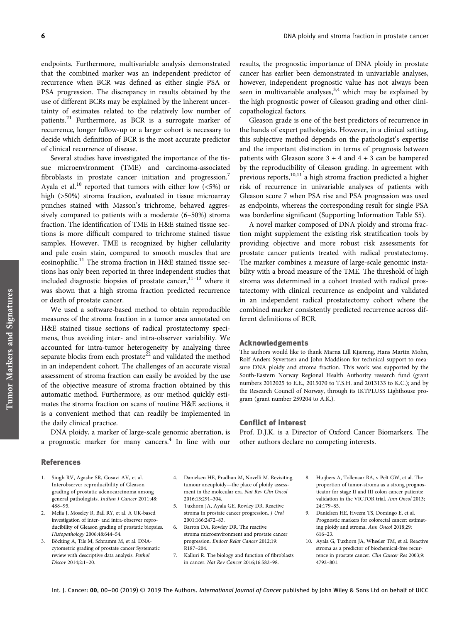endpoints. Furthermore, multivariable analysis demonstrated that the combined marker was an independent predictor of recurrence when BCR was defined as either single PSA or PSA progression. The discrepancy in results obtained by the use of different BCRs may be explained by the inherent uncertainty of estimates related to the relatively low number of patients.<sup>21</sup> Furthermore, as BCR is a surrogate marker of recurrence, longer follow-up or a larger cohort is necessary to decide which definition of BCR is the most accurate predictor of clinical recurrence of disease.

Several studies have investigated the importance of the tissue microenvironment (TME) and carcinoma-associated fibroblasts in prostate cancer initiation and progression.<sup>7</sup> Ayala et al.<sup>10</sup> reported that tumors with either low  $(5\%)$  or high (>50%) stroma fraction, evaluated in tissue microarray punches stained with Masson's trichrome, behaved aggressively compared to patients with a moderate (6–50%) stroma fraction. The identification of TME in H&E stained tissue sections is more difficult compared to trichrome stained tissue samples. However, TME is recognized by higher cellularity and pale eosin stain, compared to smooth muscles that are eosinophilic.<sup>11</sup> The stroma fraction in H&E stained tissue sections has only been reported in three independent studies that included diagnostic biopsies of prostate cancer, $11-13$  where it was shown that a high stroma fraction predicted recurrence or death of prostate cancer.

We used a software-based method to obtain reproducible measures of the stroma fraction in a tumor area annotated on H&E stained tissue sections of radical prostatectomy specimens, thus avoiding inter- and intra-observer variability. We accounted for intra-tumor heterogeneity by analyzing three separate blocks from each prostate<sup>22</sup> and validated the method in an independent cohort. The challenges of an accurate visual assessment of stroma fraction can easily be avoided by the use of the objective measure of stroma fraction obtained by this automatic method. Furthermore, as our method quickly estimates the stroma fraction on scans of routine H&E sections, it is a convenient method that can readily be implemented in the daily clinical practice.

DNA ploidy, a marker of large-scale genomic aberration, is a prognostic marker for many cancers.<sup>4</sup> In line with our

#### References

- 1. Singh RV, Agashe SR, Gosavi AV, et al. Interobserver reproducibility of Gleason grading of prostatic adenocarcinoma among general pathologists. Indian J Cancer 2011;48: 488–95.
- 2. Melia J, Moseley R, Ball RY, et al. A UK-based investigation of inter- and intra-observer reproducibility of Gleason grading of prostatic biopsies. Histopathology 2006;48:644–54.
- 3. Böcking A, Tils M, Schramm M, et al. DNAcytometric grading of prostate cancer Systematic review with descriptive data analysis. Pathol Discov 2014;2:1–20.
- 4. Danielsen HE, Pradhan M, Novelli M. Revisiting tumour aneuploidy—the place of ploidy assessment in the molecular era. Nat Rev Clin Oncol 2016;13:291–304.
- 5. Tuxhorn JA, Ayala GE, Rowley DR. Reactive stroma in prostate cancer progression. J Urol 2001;166:2472–83.
- Barron DA, Rowley DR. The reactive stroma microenvironment and prostate cancer progression. Endocr Relat Cancer 2012;19: R187–204.
- 7. Kalluri R. The biology and function of fibroblasts in cancer. Nat Rev Cancer 2016;16:582–98.

results, the prognostic importance of DNA ploidy in prostate cancer has earlier been demonstrated in univariable analyses, however, independent prognostic value has not always been seen in multivariable analyses,  $3,4$  which may be explained by the high prognostic power of Gleason grading and other clinicopathological factors.

Gleason grade is one of the best predictors of recurrence in the hands of expert pathologists. However, in a clinical setting, this subjective method depends on the pathologist's expertise and the important distinction in terms of prognosis between patients with Gleason score  $3 + 4$  and  $4 + 3$  can be hampered by the reproducibility of Gleason grading. In agreement with previous reports, $10,11$  a high stroma fraction predicted a higher risk of recurrence in univariable analyses of patients with Gleason score 7 when PSA rise and PSA progression was used as endpoints, whereas the corresponding result for single PSA was borderline significant (Supporting Information Table S5).

A novel marker composed of DNA ploidy and stroma fraction might supplement the existing risk stratification tools by providing objective and more robust risk assessments for prostate cancer patients treated with radical prostatectomy. The marker combines a measure of large-scale genomic instability with a broad measure of the TME. The threshold of high stroma was determined in a cohort treated with radical prostatectomy with clinical recurrence as endpoint and validated in an independent radical prostatectomy cohort where the combined marker consistently predicted recurrence across different definitions of BCR.

# Acknowledgements

The authors would like to thank Marna Lill Kjæreng, Hans Martin Mohn, Rolf Anders Syvertsen and John Maddison for technical support to measure DNA ploidy and stroma fraction. This work was supported by the South-Eastern Norway Regional Health Authority research fund (grant numbers 2012025 to E.E., 2015070 to T.S.H. and 2013133 to K.C.); and by the Research Council of Norway, through its IKTPLUSS Lighthouse program (grant number 259204 to A.K.).

# Conflict of interest

Prof. D.J.K. is a Director of Oxford Cancer Biomarkers. The other authors declare no competing interests.

- 8. Huijbers A, Tollenaar RA, v Pelt GW, et al. The proportion of tumor-stroma as a strong prognosticator for stage II and III colon cancer patients: validation in the VICTOR trial. Ann Oncol 2013; 24:179–85.
- 9. Danielsen HE, Hveem TS, Domingo E, et al. Prognostic markers for colorectal cancer: estimating ploidy and stroma. Ann Oncol 2018;29: 616–23.
- 10. Ayala G, Tuxhorn JA, Wheeler TM, et al. Reactive stroma as a predictor of biochemical-free recurrence in prostate cancer. Clin Cancer Res 2003;9: 4792–801.